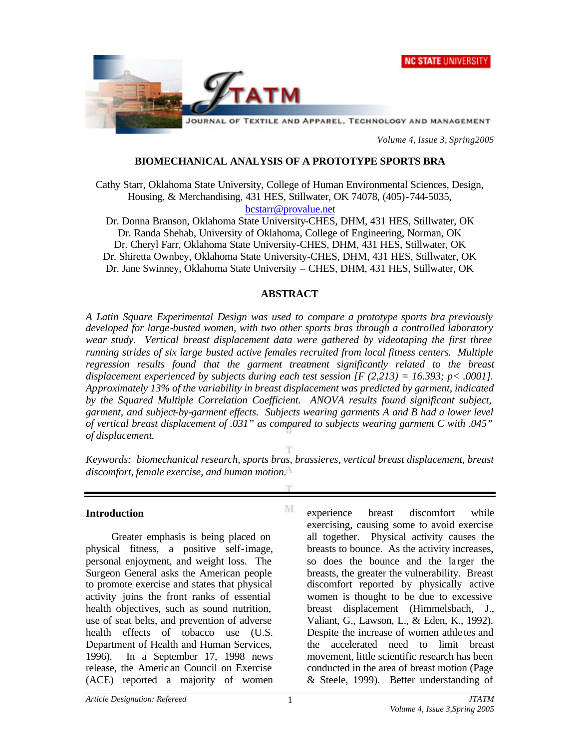



*Volume 4, Issue 3, Spring2005*

### **BIOMECHANICAL ANALYSIS OF A PROTOTYPE SPORTS BRA**

Cathy Starr, Oklahoma State University, College of Human Environmental Sciences, Design, Housing, & Merchandising, 431 HES, Stillwater, OK 74078, (405)-744-5035, bcstarr@provalue.net

Dr. Donna Branson, Oklahoma State University-CHES, DHM, 431 HES, Stillwater, OK Dr. Randa Shehab, University of Oklahoma, College of Engineering, Norman, OK Dr. Cheryl Farr, Oklahoma State University-CHES, DHM, 431 HES, Stillwater, OK Dr. Shiretta Ownbey, Oklahoma State University-CHES, DHM, 431 HES, Stillwater, OK Dr. Jane Swinney, Oklahoma State University – CHES, DHM, 431 HES, Stillwater, OK

#### **ABSTRACT**

*A Latin Square Experimental Design was used to compare a prototype sports bra previously developed for large-busted women, with two other sports bras through a controlled laboratory wear study. Vertical breast displacement data were gathered by videotaping the first three running strides of six large busted active females recruited from local fitness centers. Multiple regression results found that the garment treatment significantly related to the breast displacement experienced by subjects during each test session [F (2,213) = 16.393; p< .0001]. Approximately 13% of the variability in breast displacement was predicted by garment, indicated by the Squared Multiple Correlation Coefficient. ANOVA results found significant subject, garment, and subject-by-garment effects. Subjects wearing garments A and B had a lower level of vertical breast displacement of .031" as compared to subjects wearing garment C with .045" of displacement.*

*Keywords: biomechanical research, sports bras, brassieres, vertical breast displacement, breast discomfort, female exercise, and human motion.*

M

#### **Introduction**

Greater emphasis is being placed on physical fitness, a positive self-image, personal enjoyment, and weight loss. The Surgeon General asks the American people to promote exercise and states that physical activity joins the front ranks of essential health objectives, such as sound nutrition, use of seat belts, and prevention of adverse health effects of tobacco use (U.S. Department of Health and Human Services, 1996). In a September 17, 1998 news release, the Americ an Council on Exercise (ACE) reported a majority of women

experience breast discomfort while exercising, causing some to avoid exercise all together. Physical activity causes the breasts to bounce. As the activity increases, so does the bounce and the la rger the breasts, the greater the vulnerability. Breast discomfort reported by physically active women is thought to be due to excessive breast displacement (Himmelsbach, J., Valiant, G., Lawson, L., & Eden, K., 1992). Despite the increase of women athle tes and the accelerated need to limit breast movement, little scientific research has been conducted in the area of breast motion (Page & Steele, 1999). Better understanding of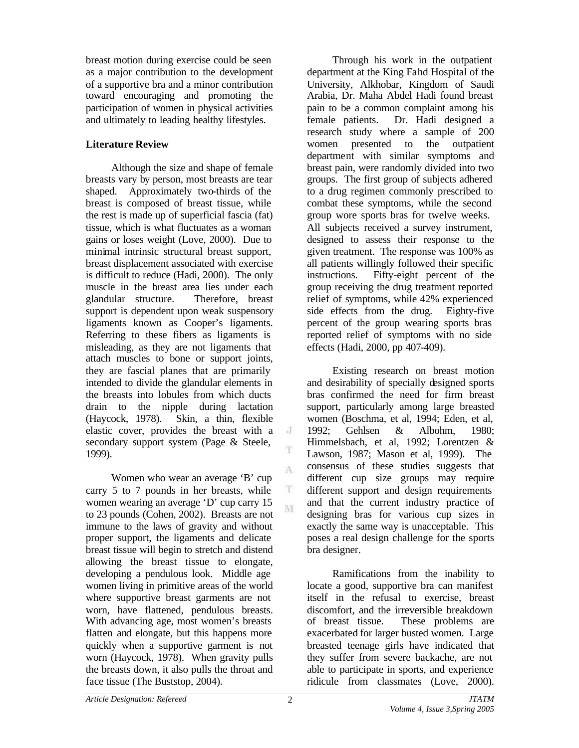breast motion during exercise could be seen as a major contribution to the development of a supportive bra and a minor contribution toward encouraging and promoting the participation of women in physical activities and ultimately to leading healthy lifestyles.

## **Literature Review**

Although the size and shape of female breasts vary by person, most breasts are tear shaped. Approximately two-thirds of the breast is composed of breast tissue, while the rest is made up of superficial fascia (fat) tissue, which is what fluctuates as a woman gains or loses weight (Love, 2000). Due to minimal intrinsic structural breast support, breast displacement associated with exercise is difficult to reduce (Hadi, 2000). The only muscle in the breast area lies under each glandular structure. Therefore, breast support is dependent upon weak suspensory ligaments known as Cooper's ligaments. Referring to these fibers as ligaments is misleading, as they are not ligaments that attach muscles to bone or support joints, they are fascial planes that are primarily intended to divide the glandular elements in the breasts into lobules from which ducts drain to the nipple during lactation (Haycock, 1978). Skin, a thin, flexible elastic cover, provides the breast with a secondary support system (Page & Steele, 1999).

Women who wear an average 'B' cup carry 5 to 7 pounds in her breasts, while women wearing an average 'D' cup carry 15 to 23 pounds (Cohen, 2002). Breasts are not immune to the laws of gravity and without proper support, the ligaments and delicate breast tissue will begin to stretch and distend allowing the breast tissue to elongate, developing a pendulous look. Middle age women living in primitive areas of the world where supportive breast garments are not worn, have flattened, pendulous breasts. With advancing age, most women's breasts flatten and elongate, but this happens more quickly when a supportive garment is not worn (Haycock, 1978). When gravity pulls the breasts down, it also pulls the throat and face tissue (The Buststop, 2004).

Through his work in the outpatient department at the King Fahd Hospital of the University, Alkhobar, Kingdom of Saudi Arabia, Dr. Maha Abdel Hadi found breast pain to be a common complaint among his female patients. Dr. Hadi designed a research study where a sample of 200 women presented to the outpatient department with similar symptoms and breast pain, were randomly divided into two groups. The first group of subjects adhered to a drug regimen commonly prescribed to combat these symptoms, while the second group wore sports bras for twelve weeks. All subjects received a survey instrument, designed to assess their response to the given treatment. The response was 100% as all patients willingly followed their specific instructions. Fifty-eight percent of the group receiving the drug treatment reported relief of symptoms, while 42% experienced side effects from the drug. Eighty-five percent of the group wearing sports bras reported relief of symptoms with no side effects (Hadi, 2000, pp 407-409).

Existing research on breast motion and desirability of specially designed sports bras confirmed the need for firm breast support, particularly among large breasted women (Boschma, et al, 1994; Eden, et al, 1992; Gehlsen & Albohm, 1980; Himmelsbach, et al, 1992; Lorentzen & Lawson, 1987; Mason et al, 1999). The consensus of these studies suggests that different cup size groups may require different support and design requirements and that the current industry practice of designing bras for various cup sizes in exactly the same way is unacceptable. This poses a real design challenge for the sports bra designer.

Ramifications from the inability to locate a good, supportive bra can manifest itself in the refusal to exercise, breast discomfort, and the irreversible breakdown of breast tissue. These problems are exacerbated for larger busted women. Large breasted teenage girls have indicated that they suffer from severe backache, are not able to participate in sports, and experience ridicule from classmates (Love, 2000).

 $\rm J$ T

A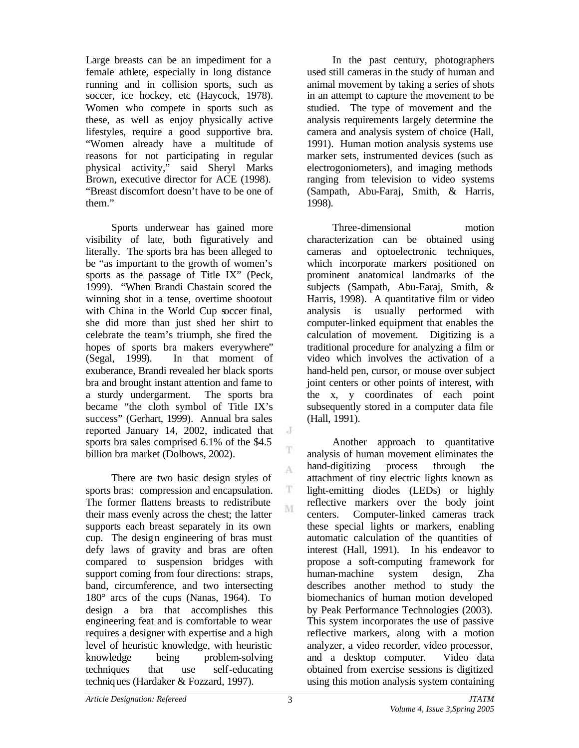Large breasts can be an impediment for a female athlete, especially in long distance running and in collision sports, such as soccer, ice hockey, etc (Haycock, 1978). Women who compete in sports such as these, as well as enjoy physically active lifestyles, require a good supportive bra. "Women already have a multitude of reasons for not participating in regular physical activity," said Sheryl Marks Brown, executive director for ACE (1998). "Breast discomfort doesn't have to be one of them."

Sports underwear has gained more visibility of late, both figuratively and literally. The sports bra has been alleged to be "as important to the growth of women's sports as the passage of Title IX" (Peck, 1999). "When Brandi Chastain scored the winning shot in a tense, overtime shootout with China in the World Cup soccer final, she did more than just shed her shirt to celebrate the team's triumph, she fired the hopes of sports bra makers everywhere" (Segal, 1999). In that moment of exuberance, Brandi revealed her black sports bra and brought instant attention and fame to a sturdy undergarment. The sports bra became "the cloth symbol of Title IX's success" (Gerhart, 1999). Annual bra sales reported January 14, 2002, indicated that sports bra sales comprised 6.1% of the \$4.5 billion bra market (Dolbows, 2002).

There are two basic design styles of sports bras: compression and encapsulation. The former flattens breasts to redistribute their mass evenly across the chest; the latter supports each breast separately in its own cup. The design engineering of bras must defy laws of gravity and bras are often compared to suspension bridges with support coming from four directions: straps, band, circumference, and two intersecting 180° arcs of the cups (Nanas, 1964). To design a bra that accomplishes this engineering feat and is comfortable to wear requires a designer with expertise and a high level of heuristic knowledge, with heuristic knowledge being problem-solving techniques that use self-educating techniques (Hardaker & Fozzard, 1997).

In the past century, photographers used still cameras in the study of human and animal movement by taking a series of shots in an attempt to capture the movement to be studied. The type of movement and the analysis requirements largely determine the camera and analysis system of choice (Hall, 1991). Human motion analysis systems use marker sets, instrumented devices (such as electrogoniometers), and imaging methods ranging from television to video systems (Sampath, Abu-Faraj, Smith, & Harris, 1998).

Three-dimensional motion characterization can be obtained using cameras and optoelectronic techniques, which incorporate markers positioned on prominent anatomical landmarks of the subjects (Sampath, Abu-Faraj, Smith, & Harris, 1998). A quantitative film or video analysis is usually performed with computer-linked equipment that enables the calculation of movement. Digitizing is a traditional procedure for analyzing a film or video which involves the activation of a hand-held pen, cursor, or mouse over subject joint centers or other points of interest, with the x, y coordinates of each point subsequently stored in a computer data file (Hall, 1991).

Another approach to quantitative analysis of human movement eliminates the hand-digitizing process through the attachment of tiny electric lights known as light-emitting diodes (LEDs) or highly reflective markers over the body joint centers. Computer-linked cameras track these special lights or markers, enabling automatic calculation of the quantities of interest (Hall, 1991). In his endeavor to propose a soft-computing framework for human-machine system design, Zha describes another method to study the biomechanics of human motion developed by Peak Performance Technologies (2003). This system incorporates the use of passive reflective markers, along with a motion analyzer, a video recorder, video processor, and a desktop computer. Video data obtained from exercise sessions is digitized using this motion analysis system containing

 $\rm J$ 

T

A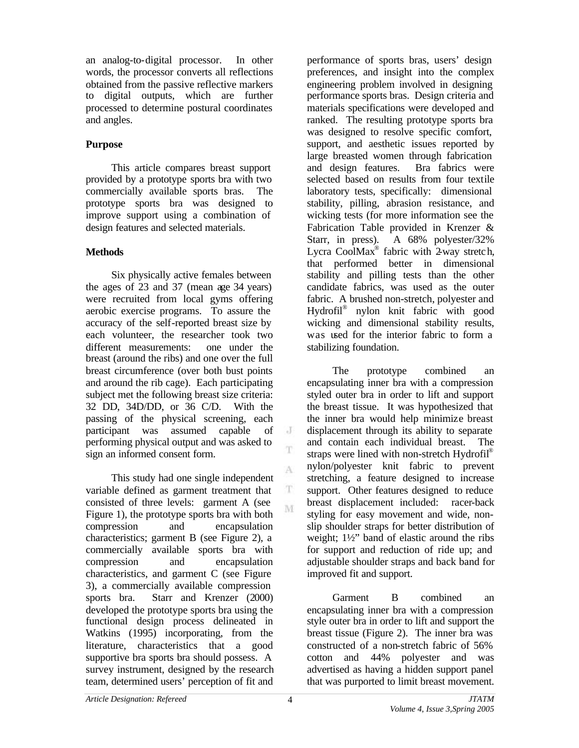an analog-to-digital processor. In other words, the processor converts all reflections obtained from the passive reflective markers to digital outputs, which are further processed to determine postural coordinates and angles.

# **Purpose**

This article compares breast support provided by a prototype sports bra with two commercially available sports bras. The prototype sports bra was designed to improve support using a combination of design features and selected materials.

# **Methods**

Six physically active females between the ages of 23 and 37 (mean age 34 years) were recruited from local gyms offering aerobic exercise programs. To assure the accuracy of the self-reported breast size by each volunteer, the researcher took two different measurements: one under the breast (around the ribs) and one over the full breast circumference (over both bust points and around the rib cage). Each participating subject met the following breast size criteria: 32 DD, 34D/DD, or 36 C/D. With the passing of the physical screening, each participant was assumed capable of performing physical output and was asked to sign an informed consent form.

This study had one single independent variable defined as garment treatment that consisted of three levels: garment A (see Figure 1), the prototype sports bra with both compression and encapsulation characteristics; garment B (see Figure 2), a commercially available sports bra with compression and encapsulation characteristics, and garment C (see Figure 3), a commercially available compression sports bra. Starr and Krenzer (2000) developed the prototype sports bra using the functional design process delineated in Watkins (1995) incorporating, from the literature, characteristics that a good supportive bra sports bra should possess. A survey instrument, designed by the research team, determined users' perception of fit and

performance of sports bras, users' design preferences, and insight into the complex engineering problem involved in designing performance sports bras. Design criteria and materials specifications were developed and ranked. The resulting prototype sports bra was designed to resolve specific comfort, support, and aesthetic issues reported by large breasted women through fabrication and design features. Bra fabrics were selected based on results from four textile laboratory tests, specifically: dimensional stability, pilling, abrasion resistance, and wicking tests (for more information see the Fabrication Table provided in Krenzer & Starr, in press). A 68% polyester/32% Lycra CoolMax<sup>®</sup> fabric with  $2$  way stretch, that performed better in dimensional stability and pilling tests than the other candidate fabrics, was used as the outer fabric. A brushed non-stretch, polyester and Hydrofil® nylon knit fabric with good wicking and dimensional stability results, was used for the interior fabric to form a stabilizing foundation.

The prototype combined an encapsulating inner bra with a compression styled outer bra in order to lift and support the breast tissue. It was hypothesized that the inner bra would help minimize breast displacement through its ability to separate and contain each individual breast. The straps were lined with non-stretch Hydrofil® nylon/polyester knit fabric to prevent stretching, a feature designed to increase support. Other features designed to reduce breast displacement included: racer-back styling for easy movement and wide, nonslip shoulder straps for better distribution of weight; 1½" band of elastic around the ribs for support and reduction of ride up; and adjustable shoulder straps and back band for improved fit and support.

Garment B combined an encapsulating inner bra with a compression style outer bra in order to lift and support the breast tissue (Figure 2). The inner bra was constructed of a non-stretch fabric of 56% cotton and 44% polyester and was advertised as having a hidden support panel that was purported to limit breast movement.

 $\rm J$ T.

A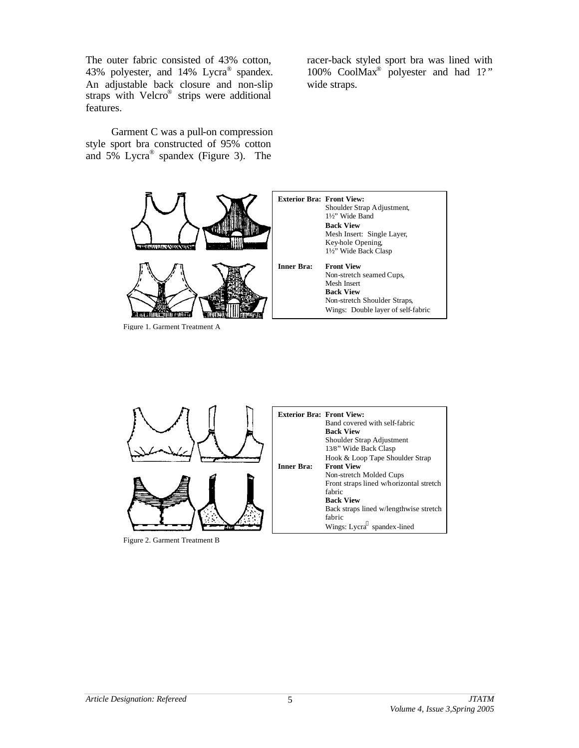The outer fabric consisted of 43% cotton, 43% polyester, and 14% Lycra<sup>®</sup> spandex. An adjustable back closure and non-slip straps with Velcro<sup>®</sup> strips were additional features.

Garment C was a pull-on compression style sport bra constructed of 95% cotton and 5% Lycra® spandex (Figure 3). The

racer-back styled sport bra was lined with 100% CoolMax® polyester and had 1?" wide straps.



Figure 1. Garment Treatment A



Figure 2. Garment Treatment B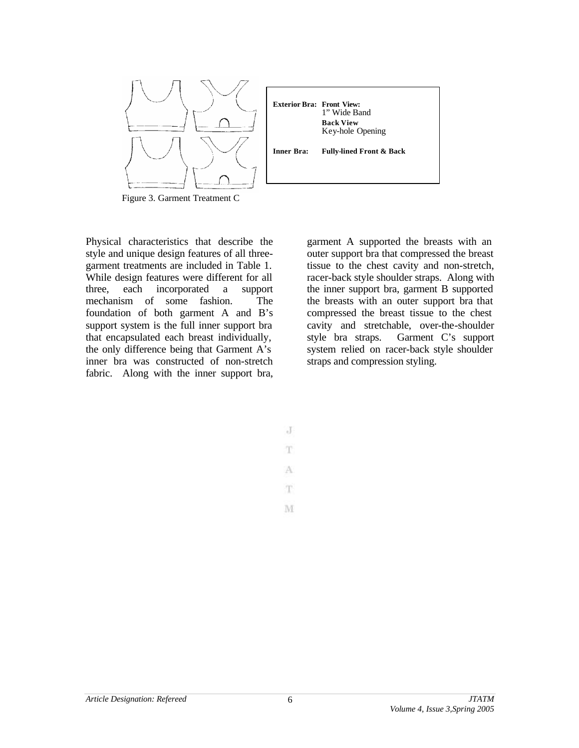

Figure 3. Garment Treatment C

Physical characteristics that describe the style and unique design features of all threegarment treatments are included in Table 1. While design features were different for all three, each incorporated a support mechanism of some fashion. The foundation of both garment A and B's support system is the full inner support bra that encapsulated each breast individually, the only difference being that Garment A's inner bra was constructed of non-stretch fabric. Along with the inner support bra,

garment A supported the breasts with an outer support bra that compressed the breast tissue to the chest cavity and non-stretch, racer-back style shoulder straps. Along with the inner support bra, garment B supported the breasts with an outer support bra that compressed the breast tissue to the chest cavity and stretchable, over-the-shoulder style bra straps. Garment C's support system relied on racer-back style shoulder straps and compression styling.

 $J$ T A T.

M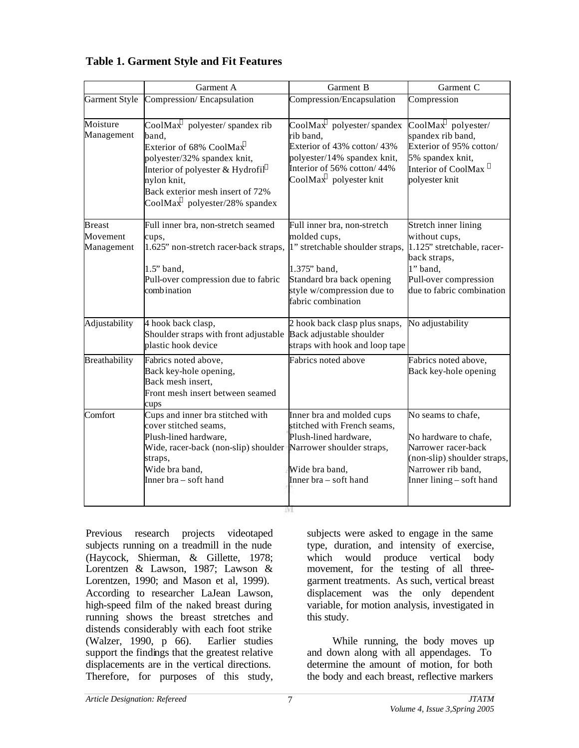|                                         | Garment A                                                                                                                                                                                                                                                                                            | Garment B                                                                                                                                                                       | Garment C                                                                                                                                             |  |
|-----------------------------------------|------------------------------------------------------------------------------------------------------------------------------------------------------------------------------------------------------------------------------------------------------------------------------------------------------|---------------------------------------------------------------------------------------------------------------------------------------------------------------------------------|-------------------------------------------------------------------------------------------------------------------------------------------------------|--|
| <b>Garment Style</b>                    | Compression/Encapsulation                                                                                                                                                                                                                                                                            | Compression/Encapsulation                                                                                                                                                       | Compression                                                                                                                                           |  |
| Moisture<br>Management                  | $\overline{\text{CoolMax}}^{\text{TM}}$ polyester/spandex rib<br>band,<br>Exterior of 68% CoolMax <sup>TM</sup><br>polyester/32% spandex knit,<br>Interior of polyester & Hydrofil®<br>nylon knit,<br>Back exterior mesh insert of 72%<br>CoolMax <sup><math>^{m}</math></sup> polyester/28% spandex | $CoolMax1M$ polyester/spandex<br>rib band,<br>Exterior of 43% cotton/43%<br>polyester/14% spandex knit,<br>Interior of 56% cotton/44%<br>$CoolMax^{\pi M}$ polyester knit       | $CoolMax^{\pi M}$ polyester/<br>spandex rib band,<br>Exterior of 95% cotton/<br>5% spandex knit,<br>Interior of CoolMax<br>polyester knit             |  |
| <b>Breast</b><br>Movement<br>Management | Full inner bra, non-stretch seamed<br>cups,<br>1.625" non-stretch racer-back straps,<br>$1.5$ " band,<br>Pull-over compression due to fabric<br>combination                                                                                                                                          | Full inner bra, non-stretch<br>molded cups,<br>1" stretchable shoulder straps,<br>1.375" band,<br>Standard bra back opening<br>style w/compression due to<br>fabric combination | Stretch inner lining<br>without cups,<br>1.125" stretchable, racer-<br>back straps,<br>1" band,<br>Pull-over compression<br>due to fabric combination |  |
| Adjustability                           | 4 hook back clasp,<br>Shoulder straps with front adjustable<br>plastic hook device                                                                                                                                                                                                                   | 2 hook back clasp plus snaps,<br>Back adjustable shoulder<br>straps with hook and loop tape                                                                                     | No adjustability                                                                                                                                      |  |
| Breathability                           | Fabrics noted above,<br>Back key-hole opening,<br>Back mesh insert,<br>Front mesh insert between seamed<br>cups                                                                                                                                                                                      | Fabrics noted above                                                                                                                                                             | Fabrics noted above,<br>Back key-hole opening                                                                                                         |  |
| Comfort                                 | Cups and inner bra stitched with<br>cover stitched seams,<br>Plush-lined hardware,<br>Wide, racer-back (non-slip) shoulder Narrower shoulder straps,<br>straps,<br>Wide bra band,<br>Inner bra – soft hand                                                                                           | Inner bra and molded cups<br>stitched with French seams,<br>Plush-lined hardware,<br>Wide bra band,<br>Inner bra – soft hand                                                    | No seams to chafe,<br>No hardware to chafe,<br>Narrower racer-back<br>(non-slip) shoulder straps,<br>Narrower rib band,<br>Inner lining - soft hand   |  |

**Table 1. Garment Style and Fit Features**

Previous research projects videotaped subjects running on a treadmill in the nude (Haycock, Shierman, & Gillette, 1978; Lorentzen & Lawson, 1987; Lawson & Lorentzen, 1990; and Mason et al, 1999). According to researcher LaJean Lawson, high-speed film of the naked breast during running shows the breast stretches and distends considerably with each foot strike (Walzer, 1990, p 66). Earlier studies support the findings that the greatest relative displacements are in the vertical directions. Therefore, for purposes of this study, subjects were asked to engage in the same type, duration, and intensity of exercise, which would produce vertical body movement, for the testing of all threegarment treatments. As such, vertical breast displacement was the only dependent variable, for motion analysis, investigated in this study.

While running, the body moves up and down along with all appendages. To determine the amount of motion, for both the body and each breast, reflective markers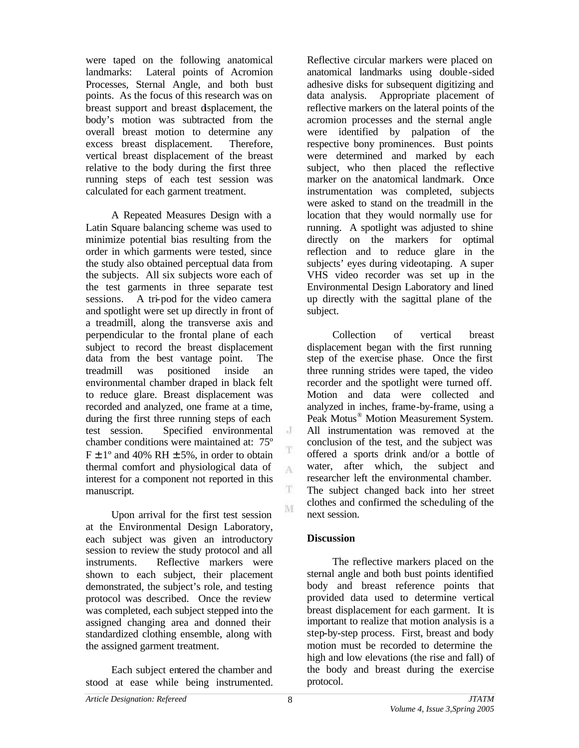were taped on the following anatomical landmarks: Lateral points of Acromion Processes, Sternal Angle, and both bust points. As the focus of this research was on breast support and breast displacement, the body's motion was subtracted from the overall breast motion to determine any excess breast displacement. Therefore, vertical breast displacement of the breast relative to the body during the first three running steps of each test session was calculated for each garment treatment.

A Repeated Measures Design with a Latin Square balancing scheme was used to minimize potential bias resulting from the order in which garments were tested, since the study also obtained perceptual data from the subjects. All six subjects wore each of the test garments in three separate test sessions. A tri-pod for the video camera and spotlight were set up directly in front of a treadmill, along the transverse axis and perpendicular to the frontal plane of each subject to record the breast displacement data from the best vantage point. The treadmill was positioned inside an environmental chamber draped in black felt to reduce glare. Breast displacement was recorded and analyzed, one frame at a time, during the first three running steps of each test session. Specified environmental chamber conditions were maintained at: 75º  $F \pm 1^{\circ}$  and 40% RH  $\pm$  5%, in order to obtain thermal comfort and physiological data of interest for a component not reported in this manuscript.

Upon arrival for the first test session at the Environmental Design Laboratory, each subject was given an introductory session to review the study protocol and all instruments. Reflective markers were shown to each subject, their placement demonstrated, the subject's role, and testing protocol was described. Once the review was completed, each subject stepped into the assigned changing area and donned their standardized clothing ensemble, along with the assigned garment treatment.

Each subject entered the chamber and stood at ease while being instrumented. Reflective circular markers were placed on anatomical landmarks using double -sided adhesive disks for subsequent digitizing and data analysis. Appropriate placement of reflective markers on the lateral points of the acromion processes and the sternal angle were identified by palpation of the respective bony prominences. Bust points were determined and marked by each subject, who then placed the reflective marker on the anatomical landmark. Once instrumentation was completed, subjects were asked to stand on the treadmill in the location that they would normally use for running. A spotlight was adjusted to shine directly on the markers for optimal reflection and to reduce glare in the subjects' eyes during videotaping. A super VHS video recorder was set up in the Environmental Design Laboratory and lined up directly with the sagittal plane of the subject.

Collection of vertical breast displacement began with the first running step of the exercise phase. Once the first three running strides were taped, the video recorder and the spotlight were turned off. Motion and data were collected and analyzed in inches, frame-by-frame, using a Peak Motus<sup>®</sup> Motion Measurement System. All instrumentation was removed at the conclusion of the test, and the subject was offered a sports drink and/or a bottle of water, after which, the subject and researcher left the environmental chamber. The subject changed back into her street clothes and confirmed the scheduling of the next session.

### **Discussion**

The reflective markers placed on the sternal angle and both bust points identified body and breast reference points that provided data used to determine vertical breast displacement for each garment. It is important to realize that motion analysis is a step-by-step process. First, breast and body motion must be recorded to determine the high and low elevations (the rise and fall) of the body and breast during the exercise protocol.

 $\cdot$ 

T A

T

M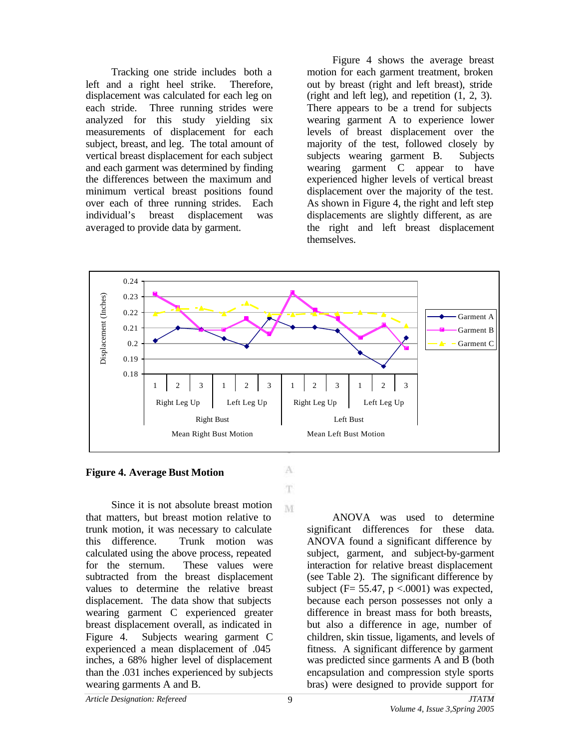Tracking one stride includes both a left and a right heel strike. Therefore, displacement was calculated for each leg on each stride. Three running strides were analyzed for this study yielding six measurements of displacement for each subject, breast, and leg. The total amount of vertical breast displacement for each subject and each garment was determined by finding the differences between the maximum and minimum vertical breast positions found over each of three running strides. Each individual's breast displacement was averaged to provide data by garment.

Figure 4 shows the average breast motion for each garment treatment, broken out by breast (right and left breast), stride (right and left leg), and repetition (1, 2, 3). There appears to be a trend for subjects wearing garment A to experience lower levels of breast displacement over the majority of the test, followed closely by subjects wearing garment B. Subjects wearing garment C appear to have experienced higher levels of vertical breast displacement over the majority of the test. As shown in Figure 4, the right and left step displacements are slightly different, as are the right and left breast displacement themselves.



#### **Figure 4. Average Bust Motion**

Since it is not absolute breast motion that matters, but breast motion relative to trunk motion, it was necessary to calculate this difference. Trunk motion was calculated using the above process, repeated for the sternum. These values were subtracted from the breast displacement values to determine the relative breast displacement. The data show that subjects wearing garment C experienced greater breast displacement overall, as indicated in Figure 4. Subjects wearing garment C experienced a mean displacement of .045 inches, a 68% higher level of displacement than the .031 inches experienced by subjects wearing garments A and B.

*Article Designation: Refereed JTATM*

A T.

M

ANOVA was used to determine significant differences for these data. ANOVA found a significant difference by subject, garment, and subject-by-garment interaction for relative breast displacement (see Table 2). The significant difference by subject (F=  $55.47$ , p <.0001) was expected, because each person possesses not only a difference in breast mass for both breasts, but also a difference in age, number of children, skin tissue, ligaments, and levels of fitness. A significant difference by garment was predicted since garments A and B (both encapsulation and compression style sports bras) were designed to provide support for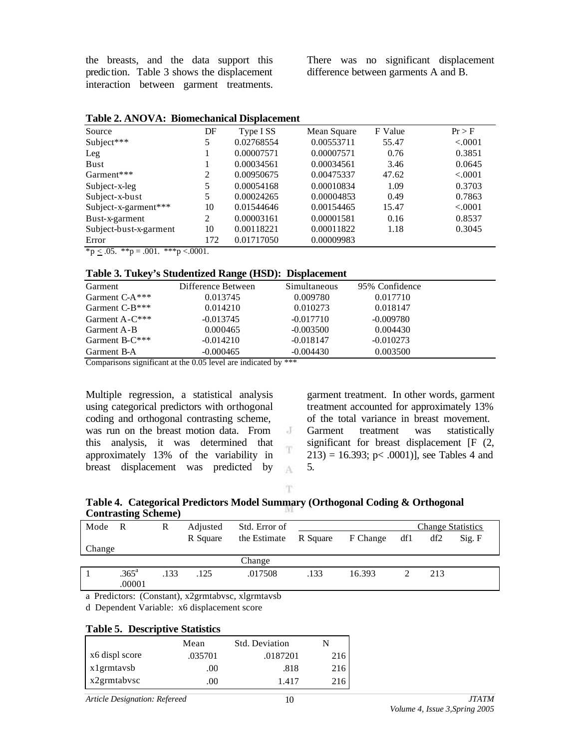the breasts, and the data support this prediction. Table 3 shows the displacement interaction between garment treatments. There was no significant displacement difference between garments A and B.

| Source                                                                                                                                                                                                                                                                                                                              | DF  | Type I SS  | Mean Square | F Value | Pr > F  |
|-------------------------------------------------------------------------------------------------------------------------------------------------------------------------------------------------------------------------------------------------------------------------------------------------------------------------------------|-----|------------|-------------|---------|---------|
| Subject***                                                                                                                                                                                                                                                                                                                          | 5   | 0.02768554 | 0.00553711  | 55.47   | < .0001 |
| Leg                                                                                                                                                                                                                                                                                                                                 |     | 0.00007571 | 0.00007571  | 0.76    | 0.3851  |
| Bust                                                                                                                                                                                                                                                                                                                                |     | 0.00034561 | 0.00034561  | 3.46    | 0.0645  |
| Garment***                                                                                                                                                                                                                                                                                                                          | 2   | 0.00950675 | 0.00475337  | 47.62   | < .0001 |
| Subject-x-leg                                                                                                                                                                                                                                                                                                                       | 5   | 0.00054168 | 0.00010834  | 1.09    | 0.3703  |
| Subject-x-bust                                                                                                                                                                                                                                                                                                                      | 5   | 0.00024265 | 0.00004853  | 0.49    | 0.7863  |
| Subject-x-garment***                                                                                                                                                                                                                                                                                                                | 10  | 0.01544646 | 0.00154465  | 15.47   | < .0001 |
| Bust-x-garment                                                                                                                                                                                                                                                                                                                      | 2   | 0.00003161 | 0.00001581  | 0.16    | 0.8537  |
| Subject-bust-x-garment                                                                                                                                                                                                                                                                                                              | 10  | 0.00118221 | 0.00011822  | 1.18    | 0.3045  |
| Error                                                                                                                                                                                                                                                                                                                               | 172 | 0.01717050 | 0.00009983  |         |         |
| $\frac{1}{2}$ $\frac{1}{2}$ $\frac{1}{2}$ $\frac{1}{2}$ $\frac{1}{2}$ $\frac{1}{2}$ $\frac{1}{2}$ $\frac{1}{2}$ $\frac{1}{2}$ $\frac{1}{2}$ $\frac{1}{2}$ $\frac{1}{2}$ $\frac{1}{2}$ $\frac{1}{2}$ $\frac{1}{2}$ $\frac{1}{2}$ $\frac{1}{2}$ $\frac{1}{2}$ $\frac{1}{2}$ $\frac{1}{2}$ $\frac{1}{2}$ $\frac{1}{2}$<br>$*** - 0001$ |     |            |             |         |         |

 ${}^{\ast}p \leq .05.$   ${}^{\ast}{}^{\ast}p = .001.$   ${}^{\ast}{}^{\ast}{}^{\ast}p < .0001.$ 

#### **Table 3. Tukey's Studentized Range (HSD): Displacement**

| Garment           | Difference Between | Simultaneous | 95% Confidence |  |
|-------------------|--------------------|--------------|----------------|--|
| Garment $C-A***$  | 0.013745           | 0.009780     | 0.017710       |  |
| Garment $C-B***$  | 0.014210           | 0.010273     | 0.018147       |  |
| Garment $A-C***$  | $-0.013745$        | $-0.017710$  | $-0.009780$    |  |
| Garment A-B       | 0.000465           | $-0.003500$  | 0.004430       |  |
| Garment B- $C***$ | $-0.014210$        | $-0.018147$  | $-0.010273$    |  |
| Garment B-A       | $-0.000465$        | $-0.004430$  | 0.003500       |  |

Comparisons significant at the 0.05 level are indicated by \*\*\*

Multiple regression, a statistical analysis using categorical predictors with orthogonal coding and orthogonal contrasting scheme, was run on the breast motion data. From this analysis, it was determined that approximately 13% of the variability in breast displacement was predicted by

garment treatment. In other words, garment treatment accounted for approximately 13% of the total variance in breast movement. Garment treatment was statistically significant for breast displacement [F  $(2, 1)$ ]  $213$ ) = 16.393; p< .0001)], see Tables 4 and 5.

T.

 $\rm J$ 

T

A

#### **Table 4. Categorical Predictors Model Summary (Orthogonal Coding & Orthogonal Contrasting Scheme)**

| Mode R |                             | R    | Adjusted | Std. Error of |          |          |     | <b>Change Statistics</b> |        |
|--------|-----------------------------|------|----------|---------------|----------|----------|-----|--------------------------|--------|
|        |                             |      | R Square | the Estimate  | R Square | F Change | df1 | df2                      | Sig. F |
| Change |                             |      |          |               |          |          |     |                          |        |
|        |                             |      |          | Change        |          |          |     |                          |        |
|        | .365 <sup>a</sup><br>.00001 | .133 | .125     | .017508       | .133     | 16.393   |     | 213                      |        |

a Predictors: (Constant), x2grmtabvsc, xlgrmtavsb

d Dependent Variable: x6 displacement score

### **Table 5. Descriptive Statistics**

|                | Mean    | <b>Std. Deviation</b> |     |
|----------------|---------|-----------------------|-----|
| x6 displ score | .035701 | .0187201              | 216 |
| x1grmtaysb     | .00.    | .818                  | 216 |
| x2grmtabysc    | .00     | 1.417                 |     |

*Article Designation: Refereed JTATM*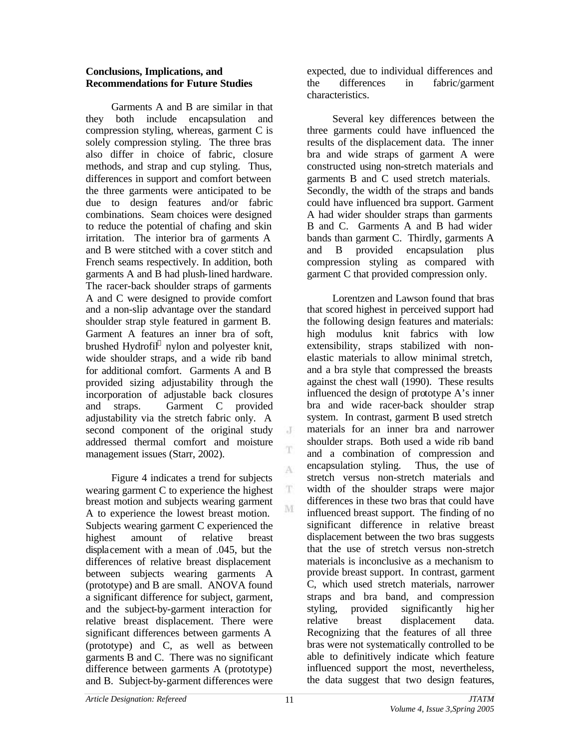### **Conclusions, Implications, and Recommendations for Future Studies**

Garments A and B are similar in that they both include encapsulation and compression styling, whereas, garment C is solely compression styling. The three bras also differ in choice of fabric, closure methods, and strap and cup styling. Thus, differences in support and comfort between the three garments were anticipated to be due to design features and/or fabric combinations. Seam choices were designed to reduce the potential of chafing and skin irritation. The interior bra of garments A and B were stitched with a cover stitch and French seams respectively. In addition, both garments A and B had plush-lined hardware. The racer-back shoulder straps of garments A and C were designed to provide comfort and a non-slip advantage over the standard shoulder strap style featured in garment B. Garment A features an inner bra of soft, brushed Hydrofil® nylon and polyester knit, wide shoulder straps, and a wide rib band for additional comfort. Garments A and B provided sizing adjustability through the incorporation of adjustable back closures and straps. Garment C provided adjustability via the stretch fabric only. A second component of the original study addressed thermal comfort and moisture management issues (Starr, 2002).

Figure 4 indicates a trend for subjects wearing garment C to experience the highest breast motion and subjects wearing garment A to experience the lowest breast motion. Subjects wearing garment C experienced the highest amount of relative breast displacement with a mean of .045, but the differences of relative breast displacement between subjects wearing garments A (prototype) and B are small. ANOVA found a significant difference for subject, garment, and the subject-by-garment interaction for relative breast displacement. There were significant differences between garments A (prototype) and C, as well as between garments B and C. There was no significant difference between garments A (prototype) and B. Subject-by-garment differences were

expected, due to individual differences and the differences in fabric/garment characteristics.

Several key differences between the three garments could have influenced the results of the displacement data. The inner bra and wide straps of garment A were constructed using non-stretch materials and garments B and C used stretch materials. Secondly, the width of the straps and bands could have influenced bra support. Garment A had wider shoulder straps than garments B and C. Garments A and B had wider bands than garment C. Thirdly, garments A and B provided encapsulation plus compression styling as compared with garment C that provided compression only.

Lorentzen and Lawson found that bras that scored highest in perceived support had the following design features and materials: high modulus knit fabrics with low extensibility, straps stabilized with nonelastic materials to allow minimal stretch, and a bra style that compressed the breasts against the chest wall (1990). These results influenced the design of prototype A's inner bra and wide racer-back shoulder strap system. In contrast, garment B used stretch materials for an inner bra and narrower shoulder straps. Both used a wide rib band and a combination of compression and encapsulation styling. Thus, the use of stretch versus non-stretch materials and width of the shoulder straps were major differences in these two bras that could have influenced breast support. The finding of no significant difference in relative breast displacement between the two bras suggests that the use of stretch versus non-stretch materials is inconclusive as a mechanism to provide breast support. In contrast, garment C, which used stretch materials, narrower straps and bra band, and compression styling, provided significantly higher relative breast displacement data. Recognizing that the features of all three bras were not systematically controlled to be able to definitively indicate which feature influenced support the most, nevertheless, the data suggest that two design features,

 $\cdot$ 

T

A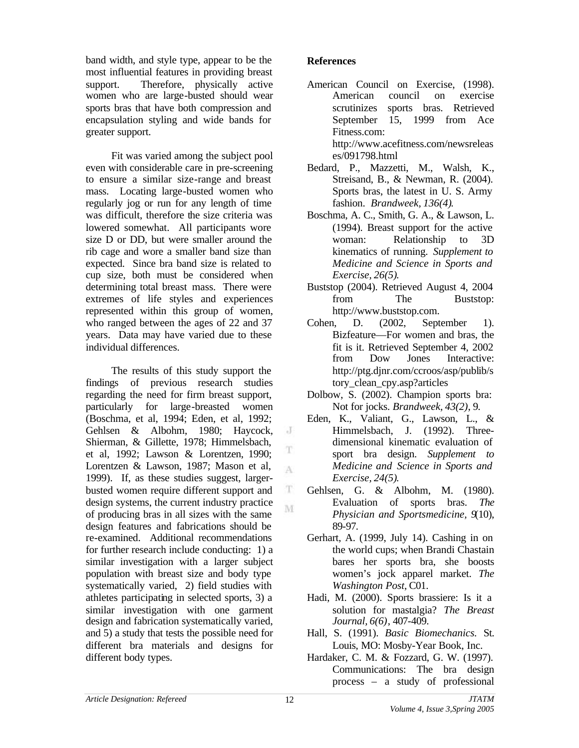band width, and style type, appear to be the most influential features in providing breast support. Therefore, physically active women who are large-busted should wear sports bras that have both compression and encapsulation styling and wide bands for greater support.

Fit was varied among the subject pool even with considerable care in pre-screening to ensure a similar size-range and breast mass. Locating large-busted women who regularly jog or run for any length of time was difficult, therefore the size criteria was lowered somewhat. All participants wore size D or DD, but were smaller around the rib cage and wore a smaller band size than expected. Since bra band size is related to cup size, both must be considered when determining total breast mass. There were extremes of life styles and experiences represented within this group of women, who ranged between the ages of 22 and 37 years. Data may have varied due to these individual differences.

The results of this study support the findings of previous research studies regarding the need for firm breast support, particularly for large-breasted women (Boschma, et al, 1994; Eden, et al, 1992; Gehlsen & Albohm, 1980; Haycock, Shierman, & Gillette, 1978; Himmelsbach, et al, 1992; Lawson & Lorentzen, 1990; Lorentzen & Lawson, 1987; Mason et al, 1999). If, as these studies suggest, largerbusted women require different support and design systems, the current industry practice of producing bras in all sizes with the same design features and fabrications should be re-examined. Additional recommendations for further research include conducting: 1) a similar investigation with a larger subject population with breast size and body type systematically varied, 2) field studies with athletes participating in selected sports, 3) a similar investigation with one garment design and fabrication systematically varied, and 5) a study that tests the possible need for different bra materials and designs for different body types.

## **References**

- American Council on Exercise, (1998). American council on exercise scrutinizes sports bras. Retrieved September 15, 1999 from Ace Fitness.com: http://www.acefitness.com/newsreleas es/091798.html
- Bedard, P., Mazzetti, M., Walsh, K., Streisand, B., & Newman, R. (2004). Sports bras, the latest in U. S. Army fashion. *Brandweek, 136(4)*.
- Boschma, A. C., Smith, G. A., & Lawson, L. (1994). Breast support for the active woman: Relationship to 3D kinematics of running. *Supplement to Medicine and Science in Sports and Exercise, 26(5)*.
- Buststop (2004). Retrieved August 4, 2004 from The Buststop: http://www.buststop.com.
- Cohen, D. (2002, September 1). Bizfeature—For women and bras, the fit is it. Retrieved September 4, 2002 from Dow Jones Interactive: http://ptg.djnr.com/ccroos/asp/publib/s tory\_clean\_cpy.asp?articles
- Dolbow, S. (2002). Champion sports bra: Not for jocks. *Brandweek, 43(2)*, 9.
- Eden, K., Valiant, G., Lawson, L., & Himmelsbach, J. (1992). Threedimensional kinematic evaluation of sport bra design. *Supplement to Medicine and Science in Sports and Exercise, 24(5)*.
- Gehlsen, G. & Albohm, M. (1980). Evaluation of sports bras. *The Physician and Sportsmedicine, 9*(10), 89-97.
- Gerhart, A. (1999, July 14). Cashing in on the world cups; when Brandi Chastain bares her sports bra, she boosts women's jock apparel market. *The Washington Post,* C01.
- Hadi, M. (2000). Sports brassiere: Is it a solution for mastalgia? *The Breast Journal, 6(6)*, 407-409.
- Hall, S. (1991). *Basic Biomechanics.* St. Louis, MO: Mosby-Year Book, Inc.
- Hardaker, C. M. & Fozzard, G. W. (1997). Communications: The bra design process – a study of professional

 $\rm J$ 

T

A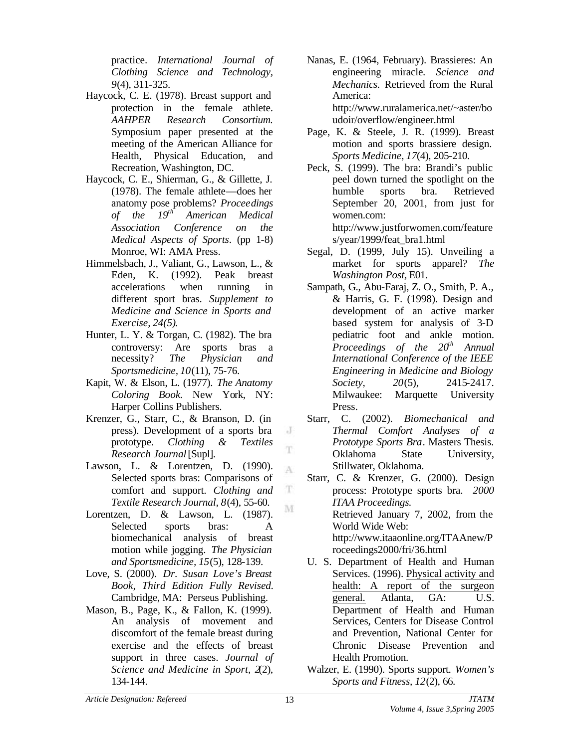practice. *International Journal of Clothing Science and Technology, 9*(4), 311-325.

- Haycock, C. E. (1978). Breast support and protection in the female athlete. *AAHPER Research Consortium.* Symposium paper presented at the meeting of the American Alliance for Health, Physical Education, and Recreation, Washington, DC.
- Haycock, C. E., Shierman, G., & Gillette, J. (1978). The female athlete—does her anatomy pose problems? *Proceedings of the 19th American Medical Association Conference on the Medical Aspects of Sports*. (pp 1-8) Monroe, WI: AMA Press.
- Himmelsbach, J., Valiant, G., Lawson, L., & Eden, K. (1992). Peak breast accelerations when running in different sport bras. *Supplement to Medicine and Science in Sports and Exercise, 24(5)*.
- Hunter, L. Y. & Torgan, C. (1982). The bra controversy: Are sports bras a necessity? *The Physician and Sportsmedicine, 10*(11), 75-76.
- Kapit, W. & Elson, L. (1977). *The Anatomy Coloring Book.* New York, NY: Harper Collins Publishers.
- Krenzer, G., Starr, C., & Branson, D. (in press). Development of a sports bra prototype. *Clothing & Textiles Research Journal* [Supl].
- Lawson, L. & Lorentzen, D. (1990). Selected sports bras: Comparisons of comfort and support. *Clothing and Textile Research Journal, 8*(4), 55-60.
- Lorentzen, D. & Lawson, L. (1987). Selected sports bras: A biomechanical analysis of breast motion while jogging. *The Physician and Sportsmedicine, 15*(5), 128-139.
- Love, S. (2000). *Dr. Susan Love's Breast Book, Third Edition Fully Revised.* Cambridge, MA: Perseus Publishing.
- Mason, B., Page, K., & Fallon, K. (1999). An analysis of movement and discomfort of the female breast during exercise and the effects of breast support in three cases. *Journal of Science and Medicine in Sport, 2*(2), 134-144.
- Nanas, E. (1964, February). Brassieres: An engineering miracle. *Science and Mechanics.* Retrieved from the Rural America: http://www.ruralamerica.net/~aster/bo udoir/overflow/engineer.html
- Page, K. & Steele, J. R. (1999). Breast motion and sports brassiere design. *Sports Medicine, 17*(4), 205-210.
- Peck, S. (1999). The bra: Brandi's public peel down turned the spotlight on the humble sports bra. Retrieved September 20, 2001, from just for women.com: http://www.justforwomen.com/feature

s/year/1999/feat\_bra1.html

- Segal, D. (1999, July 15). Unveiling a market for sports apparel? *The Washington Post,* E01.
- Sampath, G., Abu-Faraj, Z. O., Smith, P. A., & Harris, G. F. (1998). Design and development of an active marker based system for analysis of 3-D pediatric foot and ankle motion. *Proceedings of the 20th Annual International Conference of the IEEE Engineering in Medicine and Biology Society, 20*(5), 2415-2417. Milwaukee: Marquette University Press.
- Starr, C. (2002). *Biomechanical and Thermal Comfort Analyses of a Prototype Sports Bra*. Masters Thesis. Oklahoma State University, Stillwater, Oklahoma.
- Starr, C. & Krenzer, G. (2000). Design process: Prototype sports bra. *2000 ITAA Proceedings.*  Retrieved January 7, 2002, from the World Wide Web: http://www.itaaonline.org/ITAAnew/P roceedings2000/fri/36.html
- U. S. Department of Health and Human Services. (1996). Physical activity and health: A report of the surgeon general. Atlanta, GA: U.S. Department of Health and Human Services, Centers for Disease Control and Prevention, National Center for Chronic Disease Prevention and Health Promotion.
- Walzer, E. (1990). Sports support. *Women's Sports and Fitness, 12*(2), 66.

J  $\mathbf{T}$ 

A

 $\mathbf T$ M